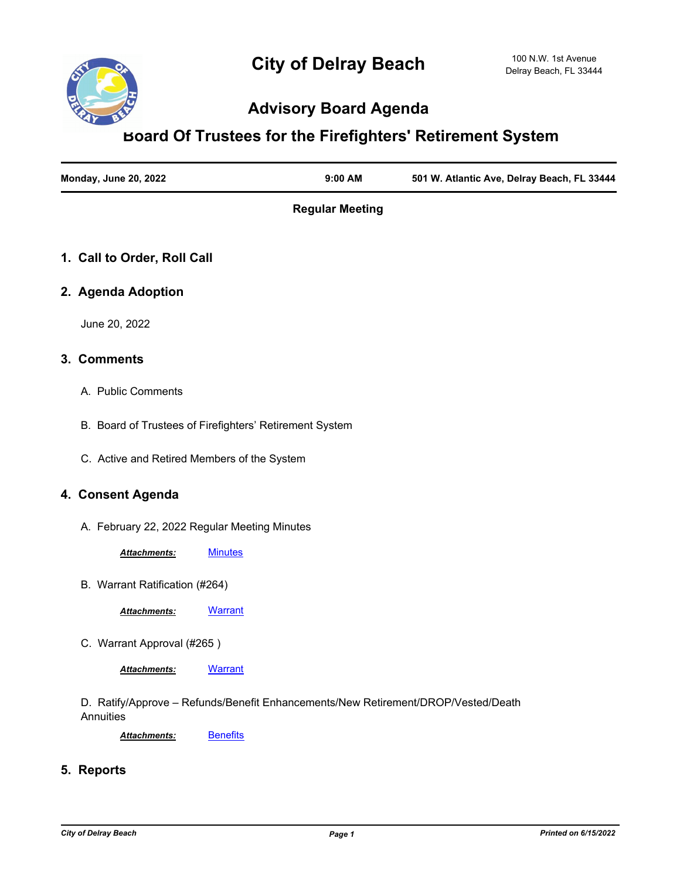

# **Advisory Board Agenda**

## **Board Of Trustees for the Firefighters' Retirement System**

| <b>Monday, June 20, 2022</b> | $9:00$ AM | 501 W. Atlantic Ave, Delray Beach, FL 33444 |
|------------------------------|-----------|---------------------------------------------|
|                              |           |                                             |

**Regular Meeting**

## **1. Call to Order, Roll Call**

## **2. Agenda Adoption**

June 20, 2022

#### **3. Comments**

- A. Public Comments
- B. Board of Trustees of Firefighters' Retirement System
- C. Active and Retired Members of the System

### **4. Consent Agenda**

A. February 22, 2022 Regular Meeting Minutes

*Attachments:* [Minutes](http://delraybeach.legistar.com/gateway.aspx?M=F&ID=391e7217-319d-4b4d-8e6e-1fdd82d50065.pdf)

B. Warrant Ratification (#264)

*Attachments:* [Warrant](http://delraybeach.legistar.com/gateway.aspx?M=F&ID=91b5f340-7fd9-42ac-b1c1-5619f29b8ce8.pdf)

C. Warrant Approval (#265 )

*Attachments:* [Warrant](http://delraybeach.legistar.com/gateway.aspx?M=F&ID=67d9fb72-b872-455f-bcd4-e932ebb96c95.pdf)

D. Ratify/Approve – Refunds/Benefit Enhancements/New Retirement/DROP/Vested/Death **Annuities** 

Attachments: **[Benefits](http://delraybeach.legistar.com/gateway.aspx?M=F&ID=deae3f17-4651-48fe-b270-ffe6b1ce0262.pdf)** 

## **5. Reports**